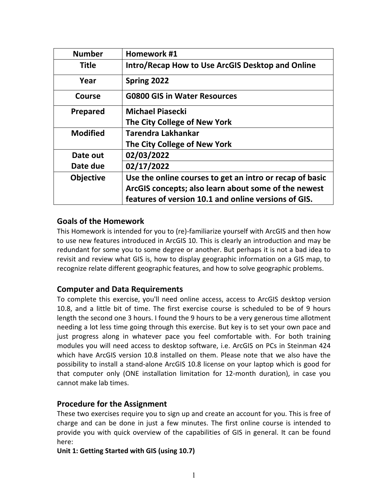| <b>Number</b>    | Homework #1                                              |
|------------------|----------------------------------------------------------|
| <b>Title</b>     | Intro/Recap How to Use ArcGIS Desktop and Online         |
| Year             | Spring 2022                                              |
| Course           | <b>G0800 GIS in Water Resources</b>                      |
| Prepared         | <b>Michael Piasecki</b>                                  |
|                  | The City College of New York                             |
| <b>Modified</b>  | Tarendra Lakhankar                                       |
|                  | The City College of New York                             |
| Date out         | 02/03/2022                                               |
| Date due         | 02/17/2022                                               |
| <b>Objective</b> | Use the online courses to get an intro or recap of basic |
|                  | ArcGIS concepts; also learn about some of the newest     |
|                  | features of version 10.1 and online versions of GIS.     |

# **Goals of the Homework**

This Homework is intended for you to (re)-familiarize yourself with ArcGIS and then how to use new features introduced in ArcGIS 10. This is clearly an introduction and may be redundant for some you to some degree or another. But perhaps it is not a bad idea to revisit and review what GIS is, how to display geographic information on a GIS map, to recognize relate different geographic features, and how to solve geographic problems.

# **Computer and Data Requirements**

To complete this exercise, you'll need online access, access to ArcGIS desktop version 10.8, and a little bit of time. The first exercise course is scheduled to be of 9 hours length the second one 3 hours. I found the 9 hours to be a very generous time allotment needing a lot less time going through this exercise. But key is to set your own pace and just progress along in whatever pace you feel comfortable with. For both training modules you will need access to desktop software, i.e. ArcGIS on PCs in Steinman 424 which have ArcGIS version 10.8 installed on them. Please note that we also have the possibility to install a stand-alone ArcGIS 10.8 license on your laptop which is good for that computer only (ONE installation limitation for 12-month duration), in case you cannot make lab times.

## **Procedure for the Assignment**

These two exercises require you to sign up and create an account for you. This is free of charge and can be done in just a few minutes. The first online course is intended to provide you with quick overview of the capabilities of GIS in general. It can be found here:

#### **Unit 1: Getting Started with GIS (using 10.7)**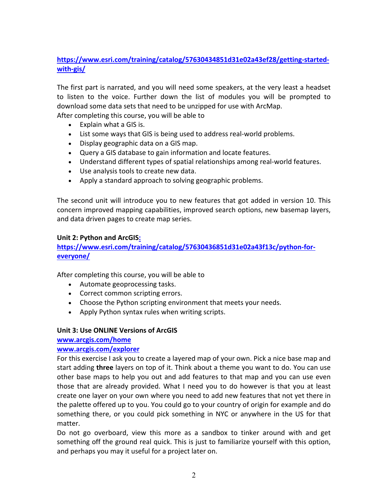# **[https://www.esri.com/training/catalog/57630434851d31e02a43ef28/getting-started](https://www.esri.com/training/catalog/57630434851d31e02a43ef28/getting-started-with-gis/)[with-gis/](https://www.esri.com/training/catalog/57630434851d31e02a43ef28/getting-started-with-gis/)**

The first part is narrated, and you will need some speakers, at the very least a headset to listen to the voice. Further down the list of modules you will be prompted to download some data sets that need to be unzipped for use with ArcMap.

After completing this course, you will be able to

- Explain what a GIS is.
- List some ways that GIS is being used to address real-world problems.
- Display geographic data on a GIS map.
- Query a GIS database to gain information and locate features.
- Understand different types of spatial relationships among real-world features.
- Use analysis tools to create new data.
- Apply a standard approach to solving geographic problems.

The second unit will introduce you to new features that got added in version 10. This concern improved mapping capabilities, improved search options, new basemap layers, and data driven pages to create map series.

#### **Unit 2: Python and ArcGIS:**

## **https://www.esri.com/training/catalog/57630436851d31e02a43f13c/python-foreveryone/**

After completing this course, you will be able to

- Automate geoprocessing tasks.
- Correct common scripting errors.
- Choose the Python scripting environment that meets your needs.
- Apply Python syntax rules when writing scripts.

#### **Unit 3: Use ONLINE Versions of ArcGIS**

**[www.arcgis.com/home](http://www.arcgis.com/home)**

#### **[www.arcgis.com/explorer](http://www.arcgis.com/explorer)**

For this exercise I ask you to create a layered map of your own. Pick a nice base map and start adding **three** layers on top of it. Think about a theme you want to do. You can use other base maps to help you out and add features to that map and you can use even those that are already provided. What I need you to do however is that you at least create one layer on your own where you need to add new features that not yet there in the palette offered up to you. You could go to your country of origin for example and do something there, or you could pick something in NYC or anywhere in the US for that matter.

Do not go overboard, view this more as a sandbox to tinker around with and get something off the ground real quick. This is just to familiarize yourself with this option, and perhaps you may it useful for a project later on.